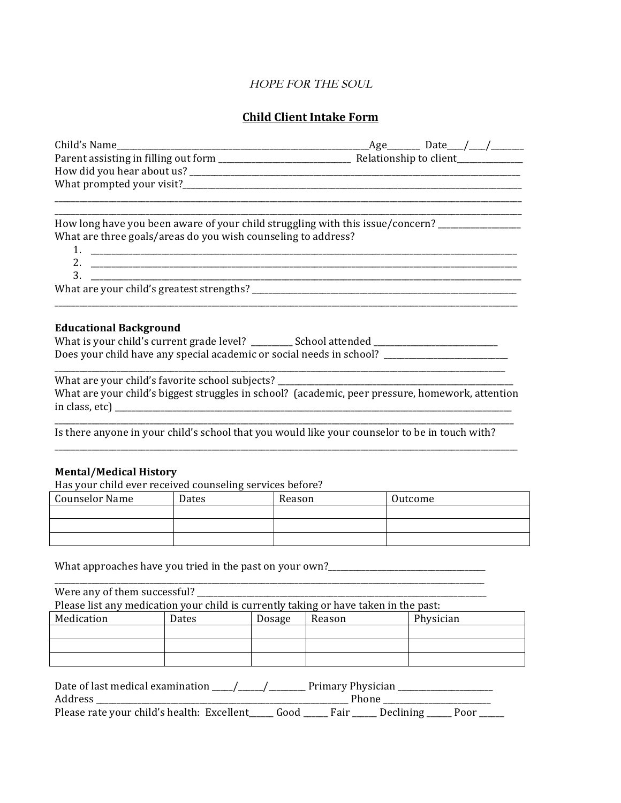# HOPE FOR THE SOUL

# **Child Client Intake Form**

| How long have you been aware of your child struggling with this issue/concern? ____________________ |  |  |
|-----------------------------------------------------------------------------------------------------|--|--|
| What are three goals/areas do you wish counseling to address?                                       |  |  |
|                                                                                                     |  |  |
| 3.                                                                                                  |  |  |
|                                                                                                     |  |  |
| <b>Educational Background</b>                                                                       |  |  |
| What is your child's current grade level? ________ School attended __________________________       |  |  |
| Does your child have any special academic or social needs in school? ______________________________ |  |  |
|                                                                                                     |  |  |
| What are your child's biggest struggles in school? (academic, peer pressure, homework, attention    |  |  |
| Is there anyone in your child's school that you would like your counselor to be in touch with?      |  |  |
|                                                                                                     |  |  |
| <b>Mental/Medical History</b>                                                                       |  |  |

Has your child ever received counseling services before?

|                | . .          |        |         |
|----------------|--------------|--------|---------|
| Counselor Name | <b>Dates</b> | Reason | Outcome |
|                |              |        |         |
|                |              |        |         |
|                |              |        |         |
|                |              |        |         |

What approaches have you tried in the past on your own?\_\_\_\_\_\_\_\_\_\_\_\_\_\_\_\_\_\_\_\_\_\_\_\_\_

\_\_\_\_\_\_\_\_\_\_\_\_\_\_\_\_\_\_\_\_\_\_\_\_\_\_\_\_\_\_\_\_\_\_\_\_\_\_\_\_\_\_\_\_\_\_\_\_\_\_\_\_\_\_\_\_\_\_\_\_\_\_\_\_\_\_\_\_\_\_\_\_\_\_\_\_\_\_\_\_\_\_\_\_\_\_\_\_\_\_\_\_\_\_\_\_\_\_\_\_\_\_\_\_ Were any of them successful? Please list any medication your child is currently taking or have taken in the past:<br>
Medication Dates Dosage Reason Physici Medication | Dates | Dosage | Reason | Physician

| Date of last medical examination           |        | Primary Physician |           |      |
|--------------------------------------------|--------|-------------------|-----------|------|
| Address                                    |        |                   |           |      |
| Please rate your child's health: Excellent | . Good | Fair              | Declining | Poor |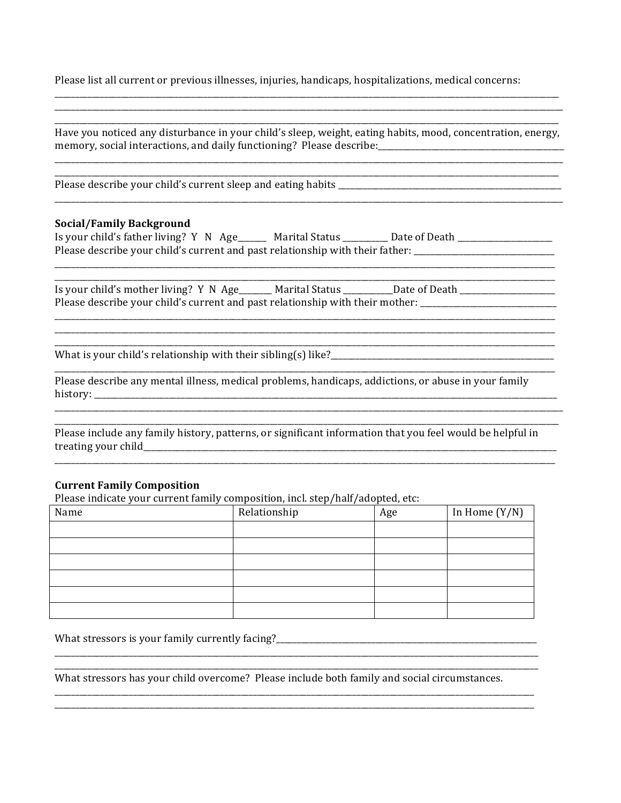Please list all current or previous illnesses, injuries, handicaps, hospitalizations, medical concerns:

| <b>Social/Family Background</b>                                                                                     |  | Is your child's father living? Y N Age_____ Marital Status ________ Date of Death _________________<br>Please describe your child's current and past relationship with their father: ________________________________ |
|---------------------------------------------------------------------------------------------------------------------|--|-----------------------------------------------------------------------------------------------------------------------------------------------------------------------------------------------------------------------|
|                                                                                                                     |  | Is your child's mother living? Y N Age______ Marital Status _________Date of Death ________________<br>Please describe your child's current and past relationship with their mother: ______________________           |
|                                                                                                                     |  |                                                                                                                                                                                                                       |
| Please describe any mental illness, medical problems, handicaps, addictions, or abuse in your family                |  |                                                                                                                                                                                                                       |
|                                                                                                                     |  | Please include any family history, patterns, or significant information that you feel would be helpful in                                                                                                             |
|                                                                                                                     |  |                                                                                                                                                                                                                       |
| <b>Current Family Composition</b><br>Please indicate your current family composition, incl. step/half/adopted, etc: |  |                                                                                                                                                                                                                       |

What stressors has your child overcome? Please include both family and social circumstances.